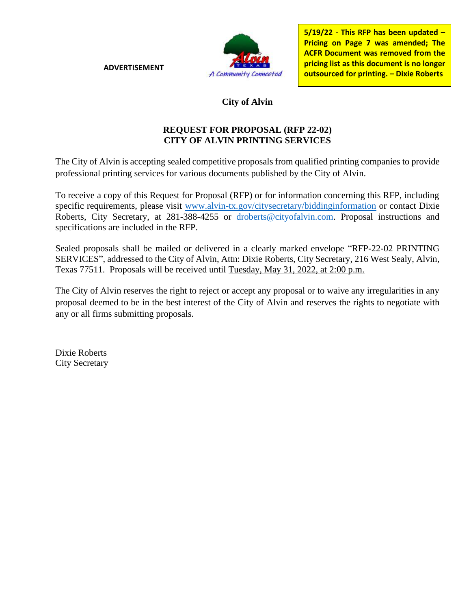**ADVERTISEMENT**



**5/19/22 - This RFP has been updated – Pricing on Page 7 was amended; The ACFR Document was removed from the pricing list as this document is no longer outsourced for printing. – Dixie Roberts**

### **City of Alvin**

#### **REQUEST FOR PROPOSAL (RFP 22-02) CITY OF ALVIN PRINTING SERVICES**

The City of Alvin is accepting sealed competitive proposals from qualified printing companies to provide professional printing services for various documents published by the City of Alvin.

To receive a copy of this Request for Proposal (RFP) or for information concerning this RFP, including specific requirements, please visit [www.alvin-tx.gov/citysecretary/biddinginformation](http://www.alvin-tx.gov/citysecretary/biddinginformation) or contact Dixie Roberts, City Secretary, at 281-388-4255 or [droberts@cityofalvin.com.](mailto:droberts@cityofalvin.com) Proposal instructions and specifications are included in the RFP.

Sealed proposals shall be mailed or delivered in a clearly marked envelope "RFP-22-02 PRINTING SERVICES", addressed to the City of Alvin, Attn: Dixie Roberts, City Secretary, 216 West Sealy, Alvin, Texas 77511. Proposals will be received until Tuesday, May 31, 2022, at 2:00 p.m.

The City of Alvin reserves the right to reject or accept any proposal or to waive any irregularities in any proposal deemed to be in the best interest of the City of Alvin and reserves the rights to negotiate with any or all firms submitting proposals.

Dixie Roberts City Secretary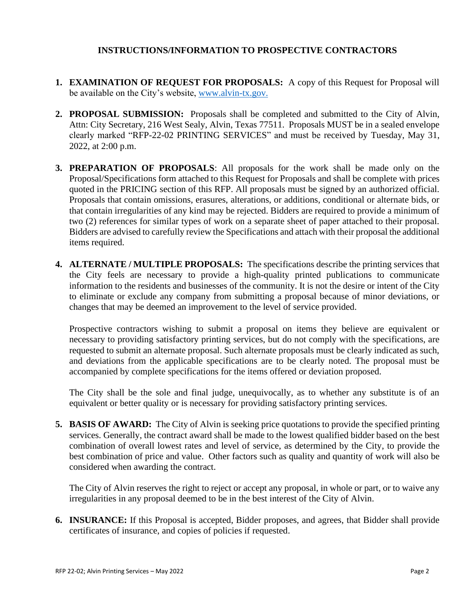#### **INSTRUCTIONS/INFORMATION TO PROSPECTIVE CONTRACTORS**

- **1. EXAMINATION OF REQUEST FOR PROPOSALS:** A copy of this Request for Proposal will be available on the City's website, [www.alvin-tx.gov.](http://www.alvin-tx.gov/)
- **2. PROPOSAL SUBMISSION:** Proposals shall be completed and submitted to the City of Alvin, Attn: City Secretary, 216 West Sealy, Alvin, Texas 77511. Proposals MUST be in a sealed envelope clearly marked "RFP-22-02 PRINTING SERVICES" and must be received by Tuesday, May 31, 2022, at 2:00 p.m.
- **3. PREPARATION OF PROPOSALS**: All proposals for the work shall be made only on the Proposal/Specifications form attached to this Request for Proposals and shall be complete with prices quoted in the PRICING section of this RFP. All proposals must be signed by an authorized official. Proposals that contain omissions, erasures, alterations, or additions, conditional or alternate bids, or that contain irregularities of any kind may be rejected. Bidders are required to provide a minimum of two (2) references for similar types of work on a separate sheet of paper attached to their proposal. Bidders are advised to carefully review the Specifications and attach with their proposal the additional items required.
- **4. ALTERNATE / MULTIPLE PROPOSALS:** The specifications describe the printing services that the City feels are necessary to provide a high-quality printed publications to communicate information to the residents and businesses of the community. It is not the desire or intent of the City to eliminate or exclude any company from submitting a proposal because of minor deviations, or changes that may be deemed an improvement to the level of service provided.

Prospective contractors wishing to submit a proposal on items they believe are equivalent or necessary to providing satisfactory printing services, but do not comply with the specifications, are requested to submit an alternate proposal. Such alternate proposals must be clearly indicated as such, and deviations from the applicable specifications are to be clearly noted. The proposal must be accompanied by complete specifications for the items offered or deviation proposed.

The City shall be the sole and final judge, unequivocally, as to whether any substitute is of an equivalent or better quality or is necessary for providing satisfactory printing services.

**5. BASIS OF AWARD:** The City of Alvin is seeking price quotations to provide the specified printing services. Generally, the contract award shall be made to the lowest qualified bidder based on the best combination of overall lowest rates and level of service, as determined by the City, to provide the best combination of price and value. Other factors such as quality and quantity of work will also be considered when awarding the contract.

The City of Alvin reserves the right to reject or accept any proposal, in whole or part, or to waive any irregularities in any proposal deemed to be in the best interest of the City of Alvin.

**6. INSURANCE:** If this Proposal is accepted, Bidder proposes, and agrees, that Bidder shall provide certificates of insurance, and copies of policies if requested.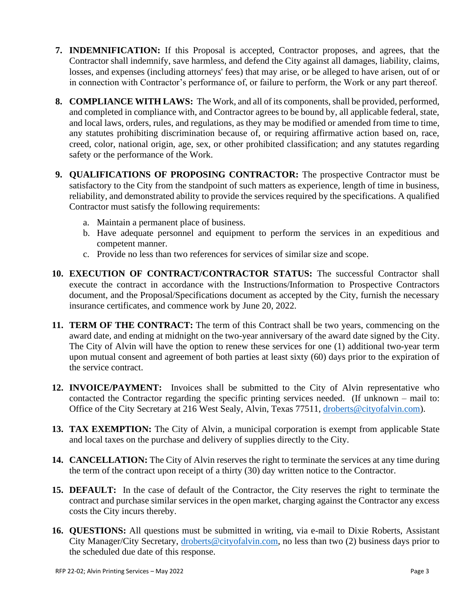- **7. INDEMNIFICATION:** If this Proposal is accepted, Contractor proposes, and agrees, that the Contractor shall indemnify, save harmless, and defend the City against all damages, liability, claims, losses, and expenses (including attorneys' fees) that may arise, or be alleged to have arisen, out of or in connection with Contractor's performance of, or failure to perform, the Work or any part thereof.
- **8. COMPLIANCE WITH LAWS:** The Work, and all of its components, shall be provided, performed, and completed in compliance with, and Contractor agrees to be bound by, all applicable federal, state, and local laws, orders, rules, and regulations, as they may be modified or amended from time to time, any statutes prohibiting discrimination because of, or requiring affirmative action based on, race, creed, color, national origin, age, sex, or other prohibited classification; and any statutes regarding safety or the performance of the Work.
- **9. QUALIFICATIONS OF PROPOSING CONTRACTOR:** The prospective Contractor must be satisfactory to the City from the standpoint of such matters as experience, length of time in business, reliability, and demonstrated ability to provide the services required by the specifications. A qualified Contractor must satisfy the following requirements:
	- a. Maintain a permanent place of business.
	- b. Have adequate personnel and equipment to perform the services in an expeditious and competent manner.
	- c. Provide no less than two references for services of similar size and scope.
- **10. EXECUTION OF CONTRACT/CONTRACTOR STATUS:** The successful Contractor shall execute the contract in accordance with the Instructions/Information to Prospective Contractors document, and the Proposal/Specifications document as accepted by the City, furnish the necessary insurance certificates, and commence work by June 20, 2022.
- **11. TERM OF THE CONTRACT:** The term of this Contract shall be two years, commencing on the award date, and ending at midnight on the two-year anniversary of the award date signed by the City. The City of Alvin will have the option to renew these services for one (1) additional two-year term upon mutual consent and agreement of both parties at least sixty (60) days prior to the expiration of the service contract.
- **12. INVOICE/PAYMENT:** Invoices shall be submitted to the City of Alvin representative who contacted the Contractor regarding the specific printing services needed. (If unknown – mail to: Office of the City Secretary at 216 West Sealy, Alvin, Texas 77511, [droberts@cityofalvin.com\)](mailto:droberts@cityofalvin.com).
- **13. TAX EXEMPTION:** The City of Alvin, a municipal corporation is exempt from applicable State and local taxes on the purchase and delivery of supplies directly to the City.
- **14. CANCELLATION:** The City of Alvin reserves the right to terminate the services at any time during the term of the contract upon receipt of a thirty (30) day written notice to the Contractor.
- **15. DEFAULT:** In the case of default of the Contractor, the City reserves the right to terminate the contract and purchase similar services in the open market, charging against the Contractor any excess costs the City incurs thereby.
- **16. QUESTIONS:** All questions must be submitted in writing, via e-mail to Dixie Roberts, Assistant City Manager/City Secretary, [droberts@cityofalvin.com,](mailto:droberts@cityofalvin.com) no less than two (2) business days prior to the scheduled due date of this response.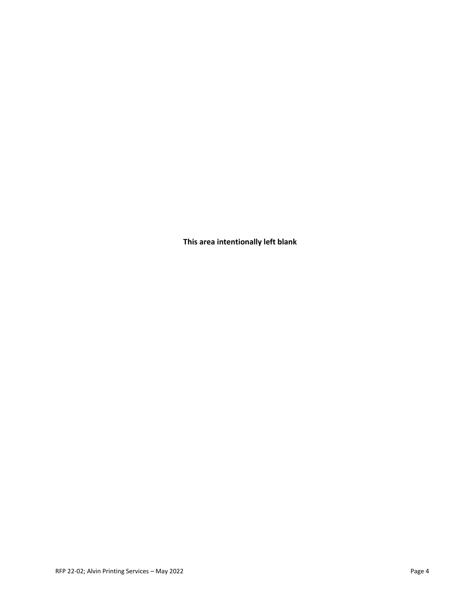**This area intentionally left blank**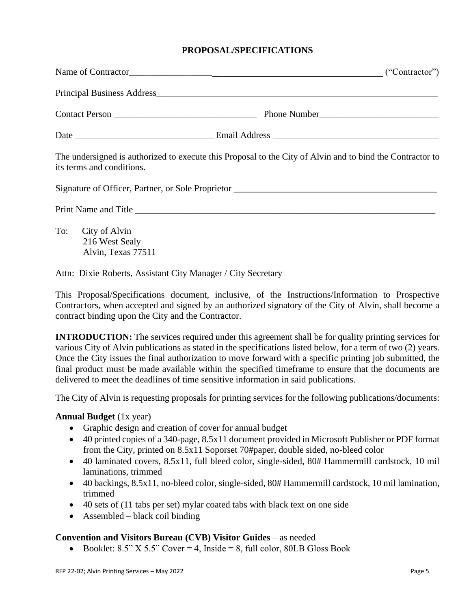#### **PROPOSAL/SPECIFICATIONS**

|                                                              | Name of Contractor<br>("Contractor")                                                                      |
|--------------------------------------------------------------|-----------------------------------------------------------------------------------------------------------|
|                                                              |                                                                                                           |
|                                                              |                                                                                                           |
|                                                              |                                                                                                           |
| its terms and conditions.                                    | The undersigned is authorized to execute this Proposal to the City of Alvin and to bind the Contractor to |
|                                                              |                                                                                                           |
|                                                              |                                                                                                           |
| To: City of Alvin<br>216 West Sealy<br>Alvin, Texas 77511    |                                                                                                           |
| Attn: Dixie Roberts, Assistant City Manager / City Secretary |                                                                                                           |

This Proposal/Specifications document, inclusive, of the Instructions/Information to Prospective Contractors, when accepted and signed by an authorized signatory of the City of Alvin, shall become a contract binding upon the City and the Contractor.

**INTRODUCTION:** The services required under this agreement shall be for quality printing services for various City of Alvin publications as stated in the specifications listed below, for a term of two (2) years. Once the City issues the final authorization to move forward with a specific printing job submitted, the final product must be made available within the specified timeframe to ensure that the documents are delivered to meet the deadlines of time sensitive information in said publications.

The City of Alvin is requesting proposals for printing services for the following publications/documents:

#### **Annual Budget** (1x year)

- Graphic design and creation of cover for annual budget
- 40 printed copies of a 340-page, 8.5x11 document provided in Microsoft Publisher or PDF format from the City, printed on 8.5x11 Soporset 70#paper, double sided, no-bleed color
- 40 laminated covers, 8.5x11, full bleed color, single-sided, 80# Hammermill cardstock, 10 mil laminations, trimmed
- 40 backings, 8.5x11, no-bleed color, single-sided, 80# Hammermill cardstock, 10 mil lamination, trimmed
- 40 sets of (11 tabs per set) mylar coated tabs with black text on one side
- Assembled black coil binding

#### **Convention and Visitors Bureau (CVB) Visitor Guides** – as needed

• Booklet:  $8.5$ " X  $5.5$ " Cover = 4, Inside = 8, full color,  $80LB$  Gloss Book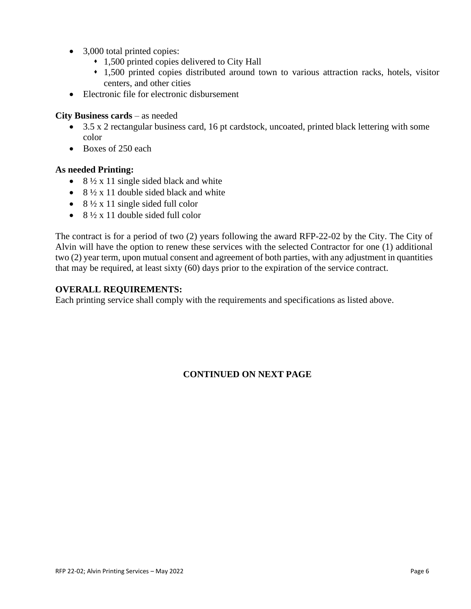- 3,000 total printed copies:
	- ⬧ 1,500 printed copies delivered to City Hall
	- ⬧ 1,500 printed copies distributed around town to various attraction racks, hotels, visitor centers, and other cities
- Electronic file for electronic disbursement

#### **City Business cards** – as needed

- 3.5 x 2 rectangular business card, 16 pt cardstock, uncoated, printed black lettering with some color
- Boxes of 250 each

## **As needed Printing:**

- 8  $\frac{1}{2}$  x 11 single sided black and white
- $8\frac{1}{2} \times 11$  double sided black and white
- $8\frac{1}{2} \times 11$  single sided full color
- $8\frac{1}{2} \times 11$  double sided full color

The contract is for a period of two (2) years following the award RFP-22-02 by the City. The City of Alvin will have the option to renew these services with the selected Contractor for one (1) additional two (2) year term, upon mutual consent and agreement of both parties, with any adjustment in quantities that may be required, at least sixty (60) days prior to the expiration of the service contract.

#### **OVERALL REQUIREMENTS:**

Each printing service shall comply with the requirements and specifications as listed above.

# **CONTINUED ON NEXT PAGE**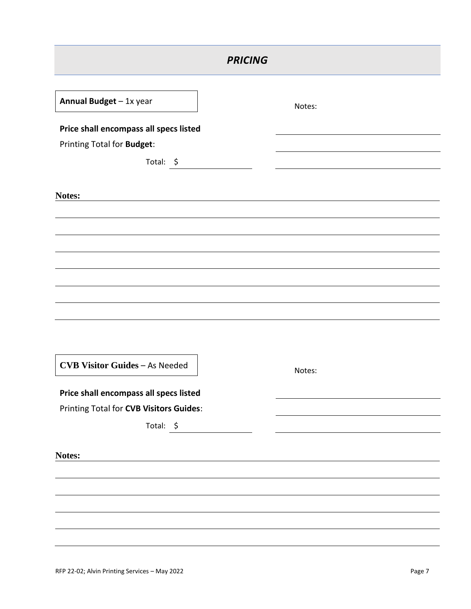| <b>PRICING</b>                          |        |  |  |  |
|-----------------------------------------|--------|--|--|--|
| Annual Budget - 1x year                 | Notes: |  |  |  |
| Price shall encompass all specs listed  |        |  |  |  |
| Printing Total for Budget:              |        |  |  |  |
| Total: \$                               |        |  |  |  |
| Notes:                                  |        |  |  |  |
|                                         |        |  |  |  |
|                                         |        |  |  |  |
|                                         |        |  |  |  |
|                                         |        |  |  |  |
|                                         |        |  |  |  |
|                                         |        |  |  |  |
|                                         |        |  |  |  |
|                                         |        |  |  |  |
|                                         |        |  |  |  |
| <b>CVB Visitor Guides - As Needed</b>   | Notes: |  |  |  |
| Price shall encompass all specs listed  |        |  |  |  |
| Printing Total for CVB Visitors Guides: |        |  |  |  |
| Total: \$                               |        |  |  |  |
|                                         |        |  |  |  |
| Notes:                                  |        |  |  |  |
|                                         |        |  |  |  |
|                                         |        |  |  |  |
|                                         |        |  |  |  |
|                                         |        |  |  |  |
|                                         |        |  |  |  |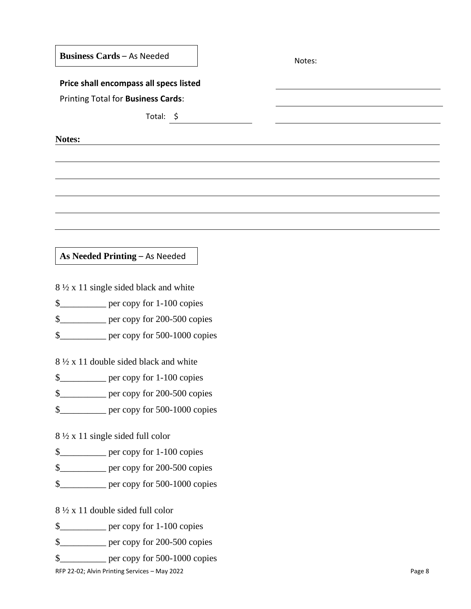| <b>Business Cards - As Needed</b> | Notes: |
|-----------------------------------|--------|
|                                   |        |

#### **Price shall encompass all specs listed**

Printing Total for **Business Cards**:

Total: \$

**Notes:**

**As Needed Printing** – As Needed

8 ½ x 11 single sided black and white

\$\_\_\_\_\_\_\_\_\_\_ per copy for 1-100 copies

\$\_\_\_\_\_\_\_\_\_\_ per copy for 200-500 copies

\$\_\_\_\_\_\_\_\_\_\_ per copy for 500-1000 copies

8 ½ x 11 double sided black and white

\$\_\_\_\_\_\_\_\_\_\_ per copy for 1-100 copies

\$\_\_\_\_\_\_\_\_\_\_ per copy for 200-500 copies

\$\_\_\_\_\_\_\_\_\_\_ per copy for 500-1000 copies

8 ½ x 11 single sided full color

\$\_\_\_\_\_\_\_\_\_\_ per copy for 1-100 copies

\$\_\_\_\_\_\_\_\_\_\_ per copy for 200-500 copies

\$\_\_\_\_\_\_\_\_\_\_ per copy for 500-1000 copies

8 ½ x 11 double sided full color

\$\_\_\_\_\_\_\_\_\_\_ per copy for 1-100 copies

\$\_\_\_\_\_\_\_\_\_\_ per copy for 200-500 copies

\$\_\_\_\_\_\_\_\_\_\_ per copy for 500-1000 copies

RFP 22-02; Alvin Printing Services – May 2022 Page 8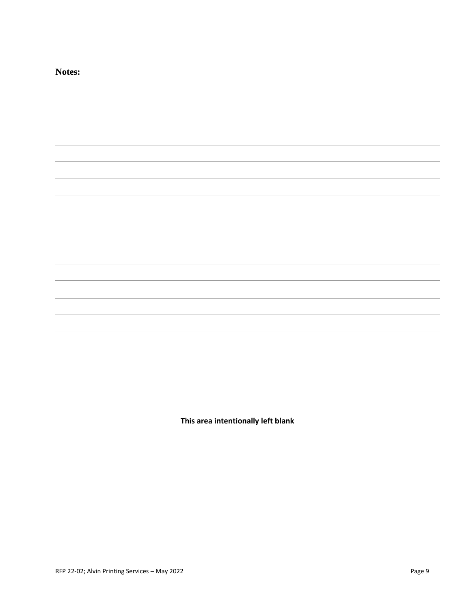| Notes: |  |
|--------|--|
|        |  |
|        |  |
|        |  |
|        |  |
|        |  |
|        |  |
|        |  |
|        |  |
|        |  |
|        |  |
|        |  |
|        |  |
|        |  |
|        |  |
|        |  |
|        |  |
|        |  |
|        |  |
|        |  |
|        |  |
|        |  |

**This area intentionally left blank**